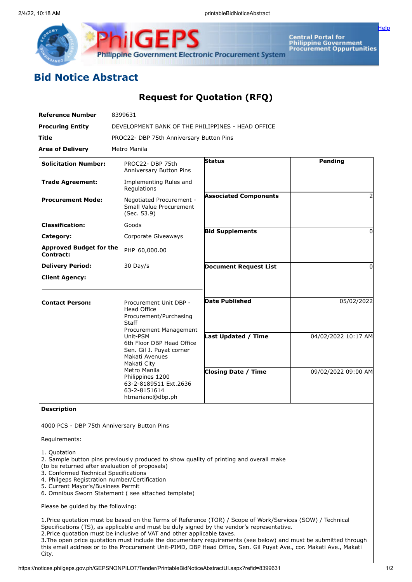

**Central Portal for Central Portal forment**<br>Philippine Government<br>Procurement Oppurtunities

[Help](javascript:void(window.open()

## **Bid Notice Abstract**

## **Request for Quotation (RFQ)**

| <b>Reference Number</b>                     | 8399631                                                                                                                                                                                                                                                                                                                 |                              |                     |
|---------------------------------------------|-------------------------------------------------------------------------------------------------------------------------------------------------------------------------------------------------------------------------------------------------------------------------------------------------------------------------|------------------------------|---------------------|
| <b>Procuring Entity</b>                     | DEVELOPMENT BANK OF THE PHILIPPINES - HEAD OFFICE                                                                                                                                                                                                                                                                       |                              |                     |
| Title                                       | PROC22- DBP 75th Anniversary Button Pins                                                                                                                                                                                                                                                                                |                              |                     |
| <b>Area of Delivery</b>                     | Metro Manila                                                                                                                                                                                                                                                                                                            |                              |                     |
| <b>Solicitation Number:</b>                 | PROC22- DBP 75th<br>Anniversary Button Pins                                                                                                                                                                                                                                                                             | <b>Status</b>                | Pending             |
| <b>Trade Agreement:</b>                     | Implementing Rules and<br>Regulations                                                                                                                                                                                                                                                                                   |                              |                     |
| <b>Procurement Mode:</b>                    | Negotiated Procurement -<br>Small Value Procurement<br>(Sec. 53.9)                                                                                                                                                                                                                                                      | <b>Associated Components</b> | 2                   |
| <b>Classification:</b>                      | Goods                                                                                                                                                                                                                                                                                                                   |                              |                     |
| Category:                                   | Corporate Giveaways                                                                                                                                                                                                                                                                                                     | <b>Bid Supplements</b>       | $\Omega$            |
| <b>Approved Budget for the</b><br>Contract: | PHP 60,000.00                                                                                                                                                                                                                                                                                                           |                              |                     |
| <b>Delivery Period:</b>                     | 30 Day/s                                                                                                                                                                                                                                                                                                                | <b>Document Request List</b> | $\Omega$            |
| <b>Client Agency:</b>                       |                                                                                                                                                                                                                                                                                                                         |                              |                     |
| <b>Contact Person:</b>                      | Procurement Unit DBP -<br><b>Head Office</b><br>Procurement/Purchasing<br><b>Staff</b><br>Procurement Management<br>Unit-PSM<br>6th Floor DBP Head Office<br>Sen. Gil J. Puyat corner<br>Makati Avenues<br>Makati City<br>Metro Manila<br>Philippines 1200<br>63-2-8189511 Ext.2636<br>63-2-8151614<br>htmariano@dbp.ph | <b>Date Published</b>        | 05/02/2022          |
|                                             |                                                                                                                                                                                                                                                                                                                         | Last Updated / Time          | 04/02/2022 10:17 AM |
|                                             |                                                                                                                                                                                                                                                                                                                         | <b>Closing Date / Time</b>   | 09/02/2022 09:00 AM |

**Description**

4000 PCS - DBP 75th Anniversary Button Pins

Requirements:

1. Quotation

2. Sample button pins previously produced to show quality of printing and overall make

(to be returned after evaluation of proposals)

- 3. Conformed Technical Specifications
- 4. Philgeps Registration number/Certification
- 5. Current Mayor's/Business Permit
- 6. Omnibus Sworn Statement ( see attached template)

Please be guided by the following:

1.Price quotation must be based on the Terms of Reference (TOR) / Scope of Work/Services (SOW) / Technical Specifications (TS), as applicable and must be duly signed by the vendor's representative.

2.Price quotation must be inclusive of VAT and other applicable taxes.

3.The open price quotation must include the documentary requirements (see below) and must be submitted through this email address or to the Procurement Unit-PIMD, DBP Head Office, Sen. Gil Puyat Ave., cor. Makati Ave., Makati City.